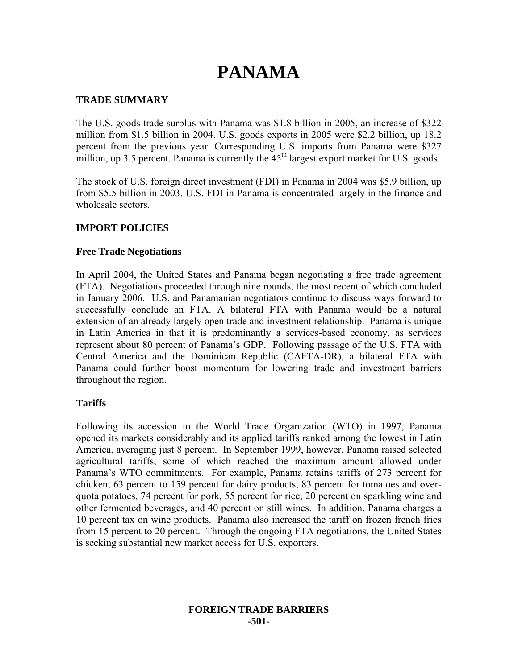# **PANAMA**

## **TRADE SUMMARY**

The U.S. goods trade surplus with Panama was \$1.8 billion in 2005, an increase of \$322 million from \$1.5 billion in 2004. U.S. goods exports in 2005 were \$2.2 billion, up 18.2 percent from the previous year. Corresponding U.S. imports from Panama were \$327 million, up 3.5 percent. Panama is currently the  $45<sup>th</sup>$  largest export market for U.S. goods.

The stock of U.S. foreign direct investment (FDI) in Panama in 2004 was \$5.9 billion, up from \$5.5 billion in 2003. U.S. FDI in Panama is concentrated largely in the finance and wholesale sectors.

## **IMPORT POLICIES**

#### **Free Trade Negotiations**

In April 2004, the United States and Panama began negotiating a free trade agreement (FTA). Negotiations proceeded through nine rounds, the most recent of which concluded in January 2006. U.S. and Panamanian negotiators continue to discuss ways forward to successfully conclude an FTA. A bilateral FTA with Panama would be a natural extension of an already largely open trade and investment relationship. Panama is unique in Latin America in that it is predominantly a services-based economy, as services represent about 80 percent of Panama's GDP. Following passage of the U.S. FTA with Central America and the Dominican Republic (CAFTA-DR), a bilateral FTA with Panama could further boost momentum for lowering trade and investment barriers throughout the region.

#### **Tariffs**

Following its accession to the World Trade Organization (WTO) in 1997, Panama opened its markets considerably and its applied tariffs ranked among the lowest in Latin America, averaging just 8 percent. In September 1999, however, Panama raised selected agricultural tariffs, some of which reached the maximum amount allowed under Panama's WTO commitments. For example, Panama retains tariffs of 273 percent for chicken, 63 percent to 159 percent for dairy products, 83 percent for tomatoes and overquota potatoes, 74 percent for pork, 55 percent for rice, 20 percent on sparkling wine and other fermented beverages, and 40 percent on still wines. In addition, Panama charges a 10 percent tax on wine products. Panama also increased the tariff on frozen french fries from 15 percent to 20 percent. Through the ongoing FTA negotiations, the United States is seeking substantial new market access for U.S. exporters.

#### **FOREIGN TRADE BARRIERS -501-**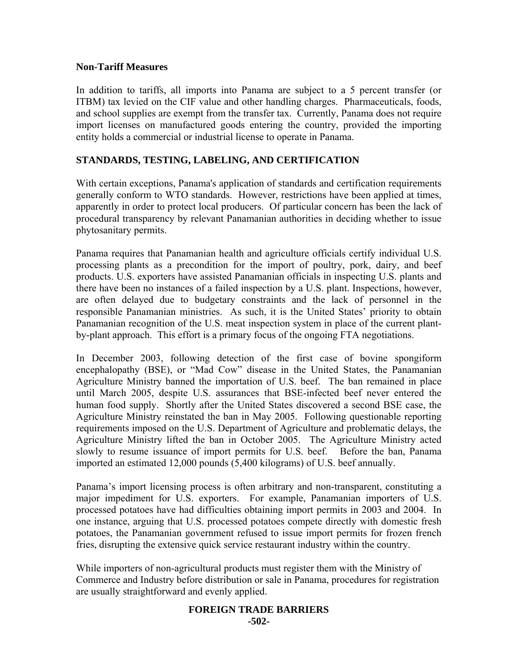## **Non-Tariff Measures**

In addition to tariffs, all imports into Panama are subject to a 5 percent transfer (or ITBM) tax levied on the CIF value and other handling charges. Pharmaceuticals, foods, and school supplies are exempt from the transfer tax. Currently, Panama does not require import licenses on manufactured goods entering the country, provided the importing entity holds a commercial or industrial license to operate in Panama.

# **STANDARDS, TESTING, LABELING, AND CERTIFICATION**

With certain exceptions, Panama's application of standards and certification requirements generally conform to WTO standards. However, restrictions have been applied at times, apparently in order to protect local producers. Of particular concern has been the lack of procedural transparency by relevant Panamanian authorities in deciding whether to issue phytosanitary permits.

Panama requires that Panamanian health and agriculture officials certify individual U.S. processing plants as a precondition for the import of poultry, pork, dairy, and beef products. U.S. exporters have assisted Panamanian officials in inspecting U.S. plants and there have been no instances of a failed inspection by a U.S. plant. Inspections, however, are often delayed due to budgetary constraints and the lack of personnel in the responsible Panamanian ministries. As such, it is the United States' priority to obtain Panamanian recognition of the U.S. meat inspection system in place of the current plantby-plant approach. This effort is a primary focus of the ongoing FTA negotiations.

In December 2003, following detection of the first case of bovine spongiform encephalopathy (BSE), or "Mad Cow" disease in the United States, the Panamanian Agriculture Ministry banned the importation of U.S. beef. The ban remained in place until March 2005, despite U.S. assurances that BSE-infected beef never entered the human food supply. Shortly after the United States discovered a second BSE case, the Agriculture Ministry reinstated the ban in May 2005. Following questionable reporting requirements imposed on the U.S. Department of Agriculture and problematic delays, the Agriculture Ministry lifted the ban in October 2005. The Agriculture Ministry acted slowly to resume issuance of import permits for U.S. beef. Before the ban, Panama imported an estimated 12,000 pounds (5,400 kilograms) of U.S. beef annually.

Panama's import licensing process is often arbitrary and non-transparent, constituting a major impediment for U.S. exporters. For example, Panamanian importers of U.S. processed potatoes have had difficulties obtaining import permits in 2003 and 2004. In one instance, arguing that U.S. processed potatoes compete directly with domestic fresh potatoes, the Panamanian government refused to issue import permits for frozen french fries, disrupting the extensive quick service restaurant industry within the country.

While importers of non-agricultural products must register them with the Ministry of Commerce and Industry before distribution or sale in Panama, procedures for registration are usually straightforward and evenly applied.

#### **FOREIGN TRADE BARRIERS -502-**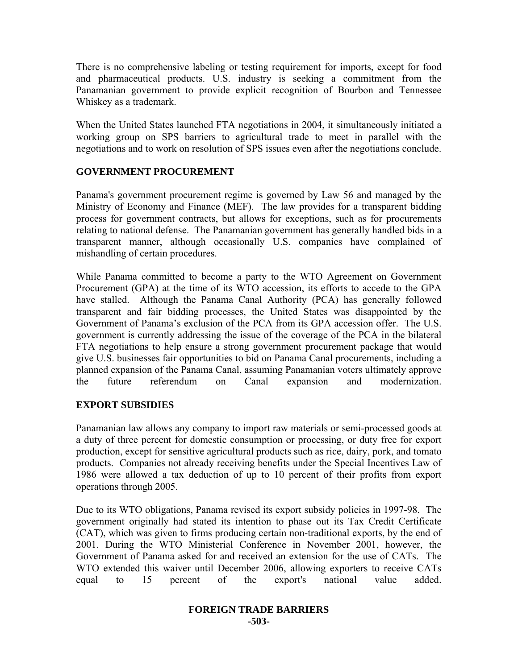There is no comprehensive labeling or testing requirement for imports, except for food and pharmaceutical products. U.S. industry is seeking a commitment from the Panamanian government to provide explicit recognition of Bourbon and Tennessee Whiskey as a trademark.

When the United States launched FTA negotiations in 2004, it simultaneously initiated a working group on SPS barriers to agricultural trade to meet in parallel with the negotiations and to work on resolution of SPS issues even after the negotiations conclude.

## **GOVERNMENT PROCUREMENT**

Panama's government procurement regime is governed by Law 56 and managed by the Ministry of Economy and Finance (MEF). The law provides for a transparent bidding process for government contracts, but allows for exceptions, such as for procurements relating to national defense. The Panamanian government has generally handled bids in a transparent manner, although occasionally U.S. companies have complained of mishandling of certain procedures.

While Panama committed to become a party to the WTO Agreement on Government Procurement (GPA) at the time of its WTO accession, its efforts to accede to the GPA have stalled. Although the Panama Canal Authority (PCA) has generally followed transparent and fair bidding processes, the United States was disappointed by the Government of Panama's exclusion of the PCA from its GPA accession offer. The U.S. government is currently addressing the issue of the coverage of the PCA in the bilateral FTA negotiations to help ensure a strong government procurement package that would give U.S. businesses fair opportunities to bid on Panama Canal procurements, including a planned expansion of the Panama Canal, assuming Panamanian voters ultimately approve the future referendum on Canal expansion and modernization.

# **EXPORT SUBSIDIES**

Panamanian law allows any company to import raw materials or semi-processed goods at a duty of three percent for domestic consumption or processing, or duty free for export production, except for sensitive agricultural products such as rice, dairy, pork, and tomato products. Companies not already receiving benefits under the Special Incentives Law of 1986 were allowed a tax deduction of up to 10 percent of their profits from export operations through 2005.

Due to its WTO obligations, Panama revised its export subsidy policies in 1997-98. The government originally had stated its intention to phase out its Tax Credit Certificate (CAT), which was given to firms producing certain non-traditional exports, by the end of 2001. During the WTO Ministerial Conference in November 2001, however, the Government of Panama asked for and received an extension for the use of CATs. The WTO extended this waiver until December 2006, allowing exporters to receive CATs equal to 15 percent of the export's national value added.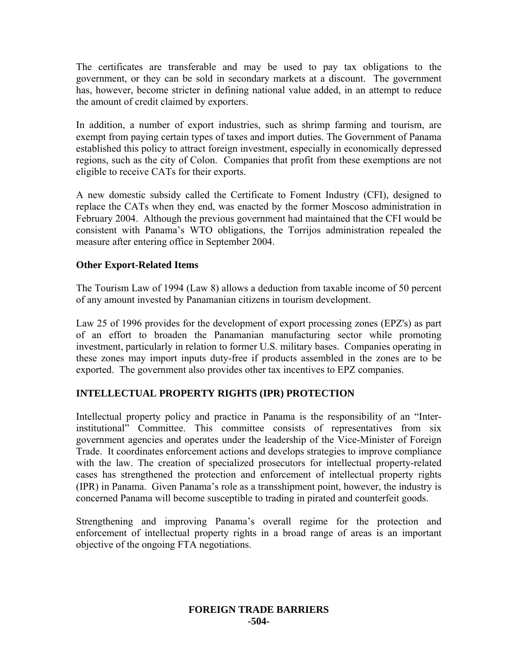The certificates are transferable and may be used to pay tax obligations to the government, or they can be sold in secondary markets at a discount. The government has, however, become stricter in defining national value added, in an attempt to reduce the amount of credit claimed by exporters.

In addition, a number of export industries, such as shrimp farming and tourism, are exempt from paying certain types of taxes and import duties. The Government of Panama established this policy to attract foreign investment, especially in economically depressed regions, such as the city of Colon. Companies that profit from these exemptions are not eligible to receive CATs for their exports.

A new domestic subsidy called the Certificate to Foment Industry (CFI), designed to replace the CATs when they end, was enacted by the former Moscoso administration in February 2004. Although the previous government had maintained that the CFI would be consistent with Panama's WTO obligations, the Torrijos administration repealed the measure after entering office in September 2004.

# **Other Export-Related Items**

The Tourism Law of 1994 (Law 8) allows a deduction from taxable income of 50 percent of any amount invested by Panamanian citizens in tourism development.

Law 25 of 1996 provides for the development of export processing zones (EPZ's) as part of an effort to broaden the Panamanian manufacturing sector while promoting investment, particularly in relation to former U.S. military bases. Companies operating in these zones may import inputs duty-free if products assembled in the zones are to be exported. The government also provides other tax incentives to EPZ companies.

# **INTELLECTUAL PROPERTY RIGHTS (IPR) PROTECTION**

Intellectual property policy and practice in Panama is the responsibility of an "Interinstitutional" Committee. This committee consists of representatives from six government agencies and operates under the leadership of the Vice-Minister of Foreign Trade. It coordinates enforcement actions and develops strategies to improve compliance with the law. The creation of specialized prosecutors for intellectual property-related cases has strengthened the protection and enforcement of intellectual property rights (IPR) in Panama. Given Panama's role as a transshipment point, however, the industry is concerned Panama will become susceptible to trading in pirated and counterfeit goods.

Strengthening and improving Panama's overall regime for the protection and enforcement of intellectual property rights in a broad range of areas is an important objective of the ongoing FTA negotiations.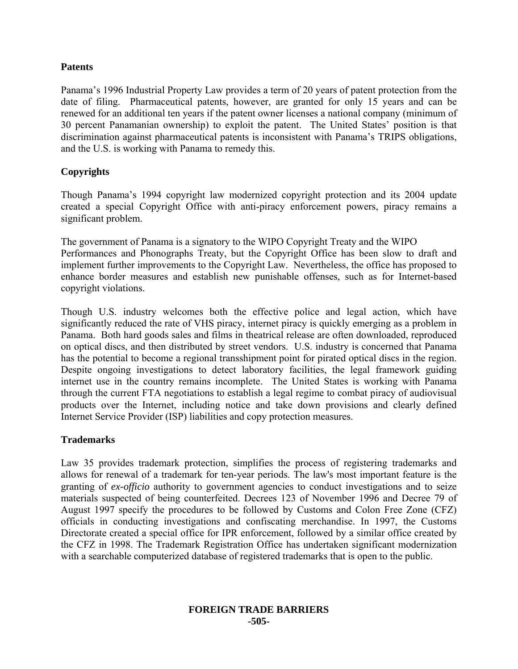## **Patents**

Panama's 1996 Industrial Property Law provides a term of 20 years of patent protection from the date of filing. Pharmaceutical patents, however, are granted for only 15 years and can be renewed for an additional ten years if the patent owner licenses a national company (minimum of 30 percent Panamanian ownership) to exploit the patent. The United States' position is that discrimination against pharmaceutical patents is inconsistent with Panama's TRIPS obligations, and the U.S. is working with Panama to remedy this.

# **Copyrights**

Though Panama's 1994 copyright law modernized copyright protection and its 2004 update created a special Copyright Office with anti-piracy enforcement powers, piracy remains a significant problem.

The government of Panama is a signatory to the WIPO Copyright Treaty and the WIPO Performances and Phonographs Treaty, but the Copyright Office has been slow to draft and implement further improvements to the Copyright Law. Nevertheless, the office has proposed to enhance border measures and establish new punishable offenses, such as for Internet-based copyright violations.

Though U.S. industry welcomes both the effective police and legal action, which have significantly reduced the rate of VHS piracy, internet piracy is quickly emerging as a problem in Panama. Both hard goods sales and films in theatrical release are often downloaded, reproduced on optical discs, and then distributed by street vendors. U.S. industry is concerned that Panama has the potential to become a regional transshipment point for pirated optical discs in the region. Despite ongoing investigations to detect laboratory facilities, the legal framework guiding internet use in the country remains incomplete. The United States is working with Panama through the current FTA negotiations to establish a legal regime to combat piracy of audiovisual products over the Internet, including notice and take down provisions and clearly defined Internet Service Provider (ISP) liabilities and copy protection measures.

# **Trademarks**

Law 35 provides trademark protection, simplifies the process of registering trademarks and allows for renewal of a trademark for ten-year periods. The law's most important feature is the granting of *ex-officio* authority to government agencies to conduct investigations and to seize materials suspected of being counterfeited. Decrees 123 of November 1996 and Decree 79 of August 1997 specify the procedures to be followed by Customs and Colon Free Zone (CFZ) officials in conducting investigations and confiscating merchandise. In 1997, the Customs Directorate created a special office for IPR enforcement, followed by a similar office created by the CFZ in 1998. The Trademark Registration Office has undertaken significant modernization with a searchable computerized database of registered trademarks that is open to the public.

#### **FOREIGN TRADE BARRIERS -505-**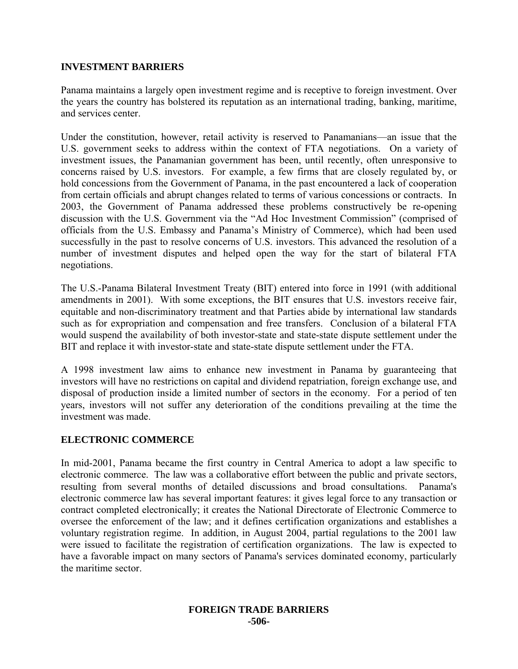#### **INVESTMENT BARRIERS**

Panama maintains a largely open investment regime and is receptive to foreign investment. Over the years the country has bolstered its reputation as an international trading, banking, maritime, and services center.

Under the constitution, however, retail activity is reserved to Panamanians—an issue that the U.S. government seeks to address within the context of FTA negotiations. On a variety of investment issues, the Panamanian government has been, until recently, often unresponsive to concerns raised by U.S. investors. For example, a few firms that are closely regulated by, or hold concessions from the Government of Panama, in the past encountered a lack of cooperation from certain officials and abrupt changes related to terms of various concessions or contracts. In 2003, the Government of Panama addressed these problems constructively be re-opening discussion with the U.S. Government via the "Ad Hoc Investment Commission" (comprised of officials from the U.S. Embassy and Panama's Ministry of Commerce), which had been used successfully in the past to resolve concerns of U.S. investors. This advanced the resolution of a number of investment disputes and helped open the way for the start of bilateral FTA negotiations.

The U.S.-Panama Bilateral Investment Treaty (BIT) entered into force in 1991 (with additional amendments in 2001). With some exceptions, the BIT ensures that U.S. investors receive fair, equitable and non-discriminatory treatment and that Parties abide by international law standards such as for expropriation and compensation and free transfers. Conclusion of a bilateral FTA would suspend the availability of both investor-state and state-state dispute settlement under the BIT and replace it with investor-state and state-state dispute settlement under the FTA.

A 1998 investment law aims to enhance new investment in Panama by guaranteeing that investors will have no restrictions on capital and dividend repatriation, foreign exchange use, and disposal of production inside a limited number of sectors in the economy. For a period of ten years, investors will not suffer any deterioration of the conditions prevailing at the time the investment was made.

#### **ELECTRONIC COMMERCE**

In mid-2001, Panama became the first country in Central America to adopt a law specific to electronic commerce. The law was a collaborative effort between the public and private sectors, resulting from several months of detailed discussions and broad consultations. Panama's electronic commerce law has several important features: it gives legal force to any transaction or contract completed electronically; it creates the National Directorate of Electronic Commerce to oversee the enforcement of the law; and it defines certification organizations and establishes a voluntary registration regime. In addition, in August 2004, partial regulations to the 2001 law were issued to facilitate the registration of certification organizations. The law is expected to have a favorable impact on many sectors of Panama's services dominated economy, particularly the maritime sector.

#### **FOREIGN TRADE BARRIERS -506-**